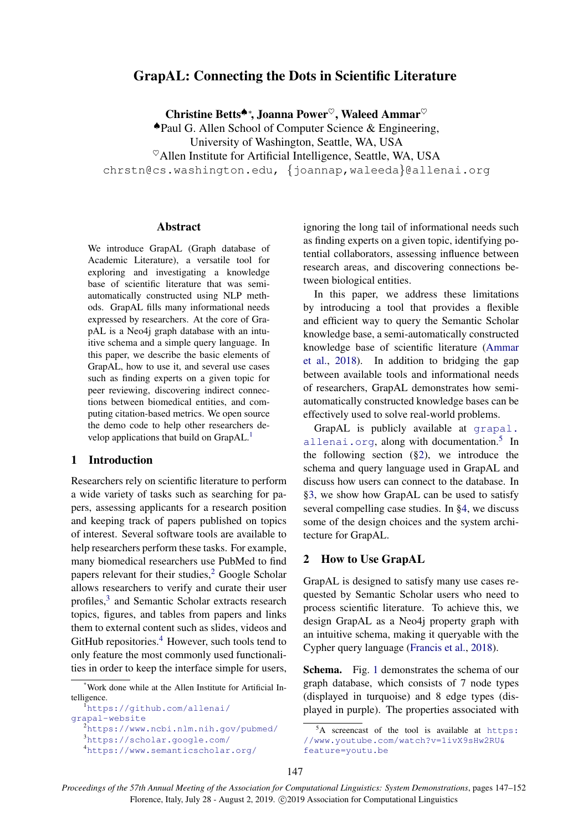# GrapAL: Connecting the Dots in Scientific Literature

Christine Betts<sup>▲∗</sup>, Joanna Power<sup>♡</sup>, Waleed Ammar<sup>♡</sup>

♠Paul G. Allen School of Computer Science & Engineering,

University of Washington, Seattle, WA, USA

 $^{\heartsuit}$ Allen Institute for Artificial Intelligence, Seattle, WA, USA

chrstn@cs.washington.edu, {joannap,waleeda}@allenai.org

### Abstract

We introduce GrapAL (Graph database of Academic Literature), a versatile tool for exploring and investigating a knowledge base of scientific literature that was semiautomatically constructed using NLP methods. GrapAL fills many informational needs expressed by researchers. At the core of GrapAL is a Neo4j graph database with an intuitive schema and a simple query language. In this paper, we describe the basic elements of GrapAL, how to use it, and several use cases such as finding experts on a given topic for peer reviewing, discovering indirect connections between biomedical entities, and computing citation-based metrics. We open source the demo code to help other researchers de-velop applications that build on GrapAL.<sup>[1](#page-0-0)</sup>

### 1 Introduction

Researchers rely on scientific literature to perform a wide variety of tasks such as searching for papers, assessing applicants for a research position and keeping track of papers published on topics of interest. Several software tools are available to help researchers perform these tasks. For example, many biomedical researchers use PubMed to find papers relevant for their studies,<sup>[2](#page-0-1)</sup> Google Scholar allows researchers to verify and curate their user profiles,<sup>[3](#page-0-2)</sup> and Semantic Scholar extracts research topics, figures, and tables from papers and links them to external content such as slides, videos and GitHub repositories. $4$  However, such tools tend to only feature the most commonly used functionalities in order to keep the interface simple for users,

ignoring the long tail of informational needs such as finding experts on a given topic, identifying potential collaborators, assessing influence between research areas, and discovering connections between biological entities.

In this paper, we address these limitations by introducing a tool that provides a flexible and efficient way to query the Semantic Scholar knowledge base, a semi-automatically constructed knowledge base of scientific literature [\(Ammar](#page-5-0) [et al.,](#page-5-0) [2018\)](#page-5-0). In addition to bridging the gap between available tools and informational needs of researchers, GrapAL demonstrates how semiautomatically constructed knowledge bases can be effectively used to solve real-world problems.

GrapAL is publicly available at [grapal.](grapal.allenai.org) [allenai.org](grapal.allenai.org), along with documentation.<sup>[5](#page-0-4)</sup> In the following section ([§2\)](#page-0-5), we introduce the schema and query language used in GrapAL and discuss how users can connect to the database. In [§3,](#page-2-0) we show how GrapAL can be used to satisfy several compelling case studies. In [§4,](#page-4-0) we discuss some of the design choices and the system architecture for GrapAL.

#### <span id="page-0-5"></span>2 How to Use GrapAL

GrapAL is designed to satisfy many use cases requested by Semantic Scholar users who need to process scientific literature. To achieve this, we design GrapAL as a Neo4j property graph with an intuitive schema, making it queryable with the Cypher query language [\(Francis et al.,](#page-5-1) [2018\)](#page-5-1).

Schema. Fig. [1](#page-1-0) demonstrates the schema of our graph database, which consists of 7 node types (displayed in turquoise) and 8 edge types (displayed in purple). The properties associated with

<sup>\*</sup>Work done while at the Allen Institute for Artificial Intelligence.

<span id="page-0-0"></span><sup>1</sup>[https://github.com/allenai/](https://github.com/allenai/grapal-website) [grapal-website](https://github.com/allenai/grapal-website)

<span id="page-0-1"></span>

<span id="page-0-3"></span><span id="page-0-2"></span><sup>2</sup><https://www.ncbi.nlm.nih.gov/pubmed/> <sup>3</sup><https://scholar.google.com/> <sup>4</sup><https://www.semanticscholar.org/>

<span id="page-0-4"></span> $5A$  screencast of the tool is available at [https:](https://www.youtube.com/watch?v=1ivX9sHw2RU&feature=youtu.be) [//www.youtube.com/watch?v=1ivX9sHw2RU&](https://www.youtube.com/watch?v=1ivX9sHw2RU&feature=youtu.be) [feature=youtu.be](https://www.youtube.com/watch?v=1ivX9sHw2RU&feature=youtu.be)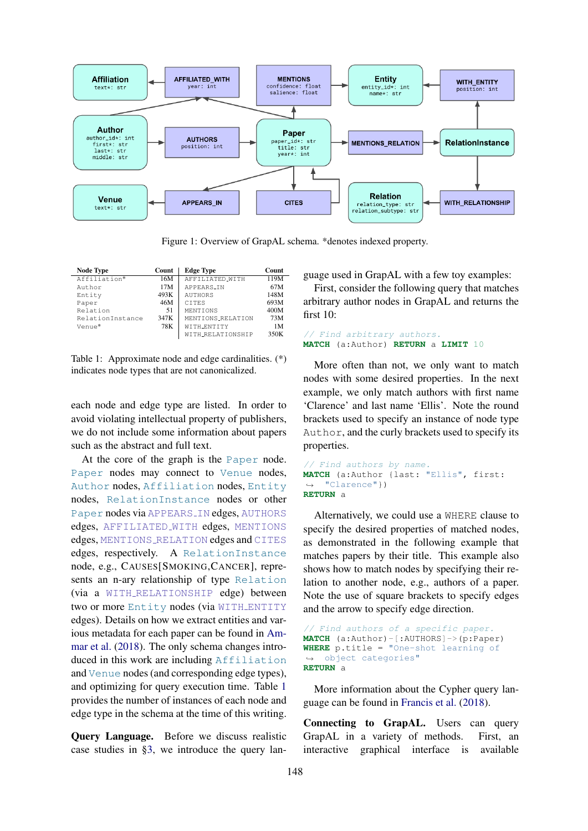<span id="page-1-0"></span>

Figure 1: Overview of GrapAL schema. \*denotes indexed property.

<span id="page-1-1"></span>

| <b>Node Type</b> | Count | <b>Edge Type</b>  | Count |
|------------------|-------|-------------------|-------|
| Affiliation*     | 16M   | AFFILIATED_WITH   | 119M  |
| Author           | 17M   | APPEARS_IN        | 67M   |
| Entity           | 493K  | <b>AUTHORS</b>    | 148M  |
| Paper            | 46M   | <b>CTTES</b>      | 693M  |
| Relation         | 51    | MENTIONS          | 400M  |
| RelationInstance | 347K  | MENTIONS_RELATION | 73M   |
| Venue*           | 78K   | WITH_ENTITY       | 1M    |
|                  |       | WITH_RELATIONSHIP | 350K  |

Table 1: Approximate node and edge cardinalities. (\*) indicates node types that are not canonicalized.

each node and edge type are listed. In order to avoid violating intellectual property of publishers, we do not include some information about papers such as the abstract and full text.

At the core of the graph is the Paper node. Paper nodes may connect to Venue nodes, Author nodes, Affiliation nodes, Entity nodes, RelationInstance nodes or other Paper nodes via APPEARS IN edges, AUTHORS edges, AFFILIATED WITH edges, MENTIONS edges, MENTIONS RELATION edges and CITES edges, respectively. A RelationInstance node, e.g., CAUSES[SMOKING,CANCER], represents an n-ary relationship of type Relation (via a WITH RELATIONSHIP edge) between two or more Entity nodes (via WITH ENTITY edges). Details on how we extract entities and various metadata for each paper can be found in [Am](#page-5-0)[mar et al.](#page-5-0) [\(2018\)](#page-5-0). The only schema changes introduced in this work are including Affiliation and Venue nodes (and corresponding edge types), and optimizing for query execution time. Table [1](#page-1-1) provides the number of instances of each node and edge type in the schema at the time of this writing.

Query Language. Before we discuss realistic case studies in [§3,](#page-2-0) we introduce the query language used in GrapAL with a few toy examples:

First, consider the following query that matches arbitrary author nodes in GrapAL and returns the first 10:

```
// Find arbitrary authors.
MATCH (a:Author) RETURN a LIMIT 10
```
More often than not, we only want to match nodes with some desired properties. In the next example, we only match authors with first name 'Clarence' and last name 'Ellis'. Note the round brackets used to specify an instance of node type Author, and the curly brackets used to specify its properties.

```
// Find authors by name.
MATCH (a:Author {last: "Ellis", first:
,→ "Clarence"})
RETURN a
```
Alternatively, we could use a WHERE clause to specify the desired properties of matched nodes, as demonstrated in the following example that matches papers by their title. This example also shows how to match nodes by specifying their relation to another node, e.g., authors of a paper. Note the use of square brackets to specify edges and the arrow to specify edge direction.

```
// Find authors of a specific paper.
MATCH (a:Author)-[:AUTHORS]->(p:Paper)
WHERE p.title = "One-shot learning of
,→ object categories"
RETURN a
```
More information about the Cypher query language can be found in [Francis et al.](#page-5-1) [\(2018\)](#page-5-1).

Connecting to GrapAL. Users can query GrapAL in a variety of methods. First, an interactive graphical interface is available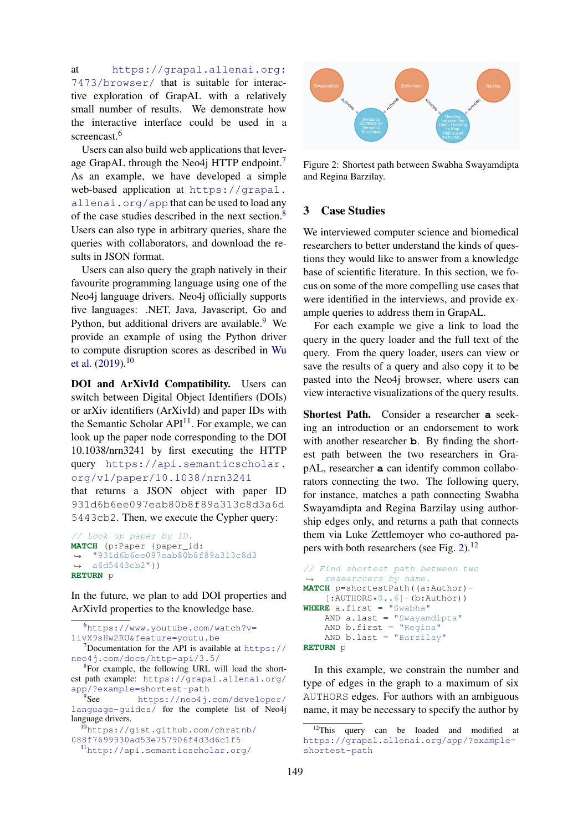at [https://grapal.allenai.org:](https://grapal.allenai.org:7473/browser/) [7473/browser/](https://grapal.allenai.org:7473/browser/) that is suitable for interactive exploration of GrapAL with a relatively small number of results. We demonstrate how the interactive interface could be used in a screencast.<sup>[6](#page-2-1)</sup>

Users can also build web applications that leverage GrapAL through the Neo4j HTTP endpoint. As an example, we have developed a simple web-based application at [https://grapal.](https://grapal.allenai.org/app) [allenai.org/app](https://grapal.allenai.org/app) that can be used to load any of the case studies described in the next section.[8](#page-2-3) Users can also type in arbitrary queries, share the queries with collaborators, and download the results in JSON format.

Users can also query the graph natively in their favourite programming language using one of the Neo4j language drivers. Neo4j officially supports five languages: .NET, Java, Javascript, Go and Python, but additional drivers are available.<sup>[9](#page-2-4)</sup> We provide an example of using the Python driver to compute disruption scores as described in [Wu](#page-5-2) [et al.](#page-5-2)  $(2019).^{10}$  $(2019).^{10}$  $(2019).^{10}$  $(2019).^{10}$ 

DOI and ArXivId Compatibility. Users can switch between Digital Object Identifiers (DOIs) or arXiv identifiers (ArXivId) and paper IDs with the Semantic Scholar  $API<sup>11</sup>$  $API<sup>11</sup>$  $API<sup>11</sup>$ . For example, we can look up the paper node corresponding to the DOI 10.1038/nrn3241 by first executing the HTTP query [https://api.semanticscholar.](https://api.semanticscholar.org/v1/paper/10.1038/nrn3241) [org/v1/paper/10.1038/nrn3241](https://api.semanticscholar.org/v1/paper/10.1038/nrn3241)

that returns a JSON object with paper ID 931d6b6ee097eab80b8f89a313c8d3a6d 5443cb2. Then, we execute the Cypher query:

```
// Look up paper by ID.
MATCH (p:Paper {paper_id:
→ "931d6b6ee097eab80b8f89a313c8d3
   a6d5443cb2"})
\hookrightarrowRETURN p
```
In the future, we plan to add DOI properties and ArXivId properties to the knowledge base.

<span id="page-2-1"></span><sup>6</sup>[https://www.youtube.com/watch?v=](https://www.youtube.com/watch?v=1ivX9sHw2RU&feature=youtu.be) [1ivX9sHw2RU&feature=youtu.be](https://www.youtube.com/watch?v=1ivX9sHw2RU&feature=youtu.be)  $7$ Documentation for the API is available at [https://](https://neo4j.com/docs/http-api/3.5/)

<span id="page-2-4"></span><sup>9</sup>See [https://neo4j.com/developer/](https://neo4j.com/developer/language-guides/) [language-guides/](https://neo4j.com/developer/language-guides/) for the complete list of Neo4j language drivers.

```
10https://gist.github.com/chrstnb/
088f7699930ad53e757906f4d3d6c1f5
 11http://api.semanticscholar.org/
```
<span id="page-2-7"></span>

Figure 2: Shortest path between Swabha Swayamdipta and Regina Barzilay.

## <span id="page-2-0"></span>3 Case Studies

We interviewed computer science and biomedical researchers to better understand the kinds of questions they would like to answer from a knowledge base of scientific literature. In this section, we focus on some of the more compelling use cases that were identified in the interviews, and provide example queries to address them in GrapAL.

For each example we give a link to load the query in the query loader and the full text of the query. From the query loader, users can view or save the results of a query and also copy it to be pasted into the Neo4j browser, where users can view interactive visualizations of the query results.

Shortest Path. Consider a researcher **a** seeking an introduction or an endorsement to work with another researcher **b**. By finding the shortest path between the two researchers in GrapAL, researcher **a** can identify common collaborators connecting the two. The following query, for instance, matches a path connecting Swabha Swayamdipta and Regina Barzilay using authorship edges only, and returns a path that connects them via Luke Zettlemoyer who co-authored papers with both researchers (see Fig. [2\)](#page-2-7).[12](#page-2-8)

```
// Find shortest path between two
  researchers by name.
MATCH p=shortestPath((a:Author)-
    [:AUTHORS*0..6] - (b:Author))WHERE a.first = "Swabha"
    AND a.last = "Swayamdipta"
    AND b.first = "Regina"
    AND b.last = "Barzilay"
RETURN p
```
In this example, we constrain the number and type of edges in the graph to a maximum of six AUTHORS edges. For authors with an ambiguous name, it may be necessary to specify the author by

<span id="page-2-2"></span>[neo4j.com/docs/http-api/3.5/](https://neo4j.com/docs/http-api/3.5/)

<span id="page-2-3"></span><sup>&</sup>lt;sup>8</sup>For example, the following URL will load the shortest path example: [https://grapal.allenai.org/](https://grapal.allenai.org/app/?example=shortest-path) [app/?example=shortest-path](https://grapal.allenai.org/app/?example=shortest-path)

<span id="page-2-8"></span><sup>&</sup>lt;sup>12</sup>This query can be loaded and modified at [https://grapal.allenai.org/app/?example=](https://grapal.allenai.org/app/?example=shortest-path) [shortest-path](https://grapal.allenai.org/app/?example=shortest-path)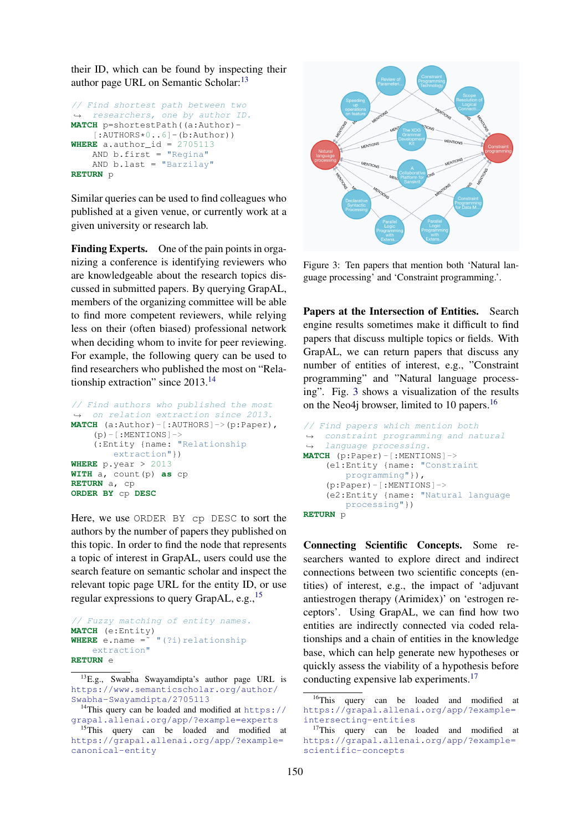their ID, which can be found by inspecting their author page URL on Semantic Scholar:<sup>[13](#page-3-0)</sup>

```
// Find shortest path between two
,→ researchers, one by author ID.
MATCH p=shortestPath((a:Author)-
   [:AUTIONS*0..6]-(b:Author))WHERE a. author_id = 2705113AND b.first = "Regina"
   AND b.last = "Barzilay"
RETURN p
```
Similar queries can be used to find colleagues who published at a given venue, or currently work at a given university or research lab.

Finding Experts. One of the pain points in organizing a conference is identifying reviewers who are knowledgeable about the research topics discussed in submitted papers. By querying GrapAL, members of the organizing committee will be able to find more competent reviewers, while relying less on their (often biased) professional network when deciding whom to invite for peer reviewing. For example, the following query can be used to find researchers who published the most on "Relationship extraction" since 2013.[14](#page-3-1)

```
// Find authors who published the most
,→ on relation extraction since 2013.
MATCH (a:Author)-[:AUTHORS]->(p:Paper),
    (p) - [: MENTIONS] ->
    (:Entity {name: "Relationship
       extraction"})
WHERE p.year > 2013
WITH a, count(p) as cp
RETURN a, cp
ORDER BY cp DESC
```
Here, we use ORDER BY cp DESC to sort the authors by the number of papers they published on this topic. In order to find the node that represents a topic of interest in GrapAL, users could use the search feature on semantic scholar and inspect the relevant topic page URL for the entity ID, or use regular expressions to query GrapAL, e.g.,  $^{15}$  $^{15}$  $^{15}$ 

```
// Fuzzy matching of entity names.
MATCH (e:Entity)
WHERE e.name =\frac{1}{x} "(?i) relationship
    extraction"
RETURN e
```
<span id="page-3-3"></span>

Figure 3: Ten papers that mention both 'Natural language processing' and 'Constraint programming.'.

Papers at the Intersection of Entities. Search engine results sometimes make it difficult to find papers that discuss multiple topics or fields. With GrapAL, we can return papers that discuss any number of entities of interest, e.g., "Constraint programming" and "Natural language processing". Fig. [3](#page-3-3) shows a visualization of the results on the Neo4j browser, limited to 10 papers.<sup>[16](#page-3-4)</sup>

```
// Find papers which mention both
→ constraint programming and natural
→ language processing.
MATCH (p:Paper)-[:MENTIONS]->
    (e1:Entity {name: "Constraint
        programming"}),
    (p:Paper)-[:MENTIONS]->
    (e2:Entity {name: "Natural language
       processing"})
RETURN p
```
Connecting Scientific Concepts. Some researchers wanted to explore direct and indirect connections between two scientific concepts (entities) of interest, e.g., the impact of 'adjuvant antiestrogen therapy (Arimidex)' on 'estrogen receptors'. Using GrapAL, we can find how two entities are indirectly connected via coded relationships and a chain of entities in the knowledge base, which can help generate new hypotheses or quickly assess the viability of a hypothesis before conducting expensive lab experiments.[17](#page-3-5)

<span id="page-3-0"></span><sup>13</sup>E.g., Swabha Swayamdipta's author page URL is [https://www.semanticscholar.org/author/](https://www.semanticscholar.org/author/Swabha-Swayamdipta/2705113) [Swabha-Swayamdipta/2705113](https://www.semanticscholar.org/author/Swabha-Swayamdipta/2705113)

<span id="page-3-1"></span><sup>&</sup>lt;sup>14</sup>This query can be loaded and modified at [https://](https://grapal.allenai.org/app/?example=experts) [grapal.allenai.org/app/?example=experts](https://grapal.allenai.org/app/?example=experts)

<span id="page-3-2"></span><sup>&</sup>lt;sup>15</sup>This query can be loaded and modified at [https://grapal.allenai.org/app/?example=](https://grapal.allenai.org/app/?example=canonical-entity) [canonical-entity](https://grapal.allenai.org/app/?example=canonical-entity)

<span id="page-3-4"></span><sup>&</sup>lt;sup>16</sup>This query can be loaded and modified at [https://grapal.allenai.org/app/?example=](https://grapal.allenai.org/app/?example=intersecting-entities) [intersecting-entities](https://grapal.allenai.org/app/?example=intersecting-entities)

<span id="page-3-5"></span><sup>&</sup>lt;sup>17</sup>This query can be loaded and modified at [https://grapal.allenai.org/app/?example=](https://grapal.allenai.org/app/?example=scientific-concepts) [scientific-concepts](https://grapal.allenai.org/app/?example=scientific-concepts)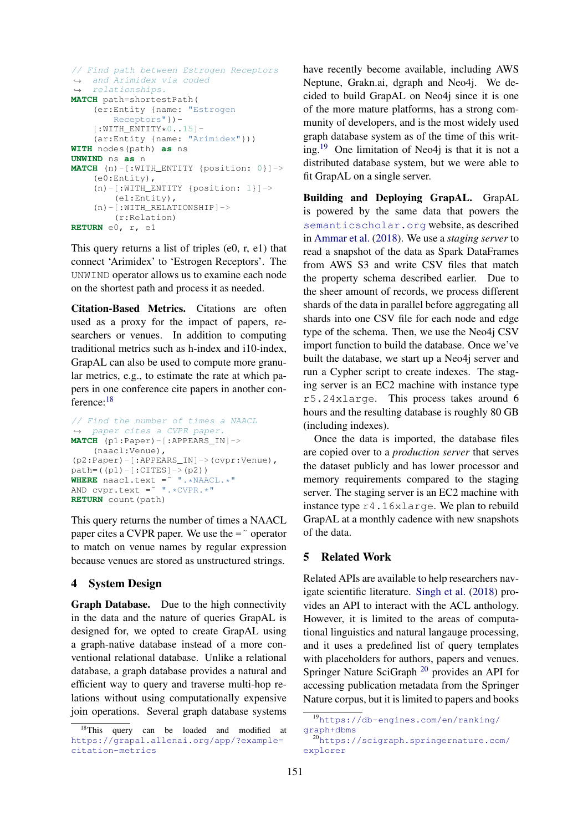```
// Find path between Estrogen Receptors
→ and Arimidex via coded
→ relationships.
MATCH path=shortestPath(
    (er:Entity {name: "Estrogen
       Receptors"})-
    [:WITH\_ENTITY*0..15]-
    (ar:Entity {name: "Arimidex"}))
WITH nodes(path) as ns
UNWIND ns as n
MATCH (n)-[:WITH_ENTITY {position: 0}]->
    (e0:Entity),
    (n)-[:WITH_ENTITY {position: 1}]->
        (e1:Entity),
    (n)-[:WITH_RELATIONSHIP]->
        (r:Relation)
RETURN e0, r, e1
```
This query returns a list of triples (e0, r, e1) that connect 'Arimidex' to 'Estrogen Receptors'. The UNWIND operator allows us to examine each node on the shortest path and process it as needed.

Citation-Based Metrics. Citations are often used as a proxy for the impact of papers, researchers or venues. In addition to computing traditional metrics such as h-index and i10-index, GrapAL can also be used to compute more granular metrics, e.g., to estimate the rate at which papers in one conference cite papers in another conference:[18](#page-4-1)

```
// Find the number of times a NAACL
   paper cites a CVPR paper.
MATCH (p1:Paper)-[:APPEARS_IN]->
    (naacl:Venue),
(p2:Paper)-[:APPEARS_IN]->(cvpr:Venue),
path=(p1)-[:CITES] \rightarrow (p2)WHERE naacl.text = W.*NAACL.*"
AND cvpr.text =˜ ".*CVPR.*"
RETURN count(path)
```
This query returns the number of times a NAACL paper cites a CVPR paper. We use the  $=\degree$  operator to match on venue names by regular expression because venues are stored as unstructured strings.

### <span id="page-4-0"></span>4 System Design

Graph Database. Due to the high connectivity in the data and the nature of queries GrapAL is designed for, we opted to create GrapAL using a graph-native database instead of a more conventional relational database. Unlike a relational database, a graph database provides a natural and efficient way to query and traverse multi-hop relations without using computationally expensive join operations. Several graph database systems have recently become available, including AWS Neptune, Grakn.ai, dgraph and Neo4j. We decided to build GrapAL on Neo4j since it is one of the more mature platforms, has a strong community of developers, and is the most widely used graph database system as of the time of this writ-ing.<sup>[19](#page-4-2)</sup> One limitation of Neo4 $\mathfrak i$  is that it is not a distributed database system, but we were able to fit GrapAL on a single server.

Building and Deploying GrapAL. GrapAL is powered by the same data that powers the <semanticscholar.org> website, as described in [Ammar et al.](#page-5-0) [\(2018\)](#page-5-0). We use a *staging server* to read a snapshot of the data as Spark DataFrames from AWS S3 and write CSV files that match the property schema described earlier. Due to the sheer amount of records, we process different shards of the data in parallel before aggregating all shards into one CSV file for each node and edge type of the schema. Then, we use the Neo4j CSV import function to build the database. Once we've built the database, we start up a Neo4j server and run a Cypher script to create indexes. The staging server is an EC2 machine with instance type r5.24xlarge. This process takes around 6 hours and the resulting database is roughly 80 GB (including indexes).

Once the data is imported, the database files are copied over to a *production server* that serves the dataset publicly and has lower processor and memory requirements compared to the staging server. The staging server is an EC2 machine with instance type r4.16xlarge. We plan to rebuild GrapAL at a monthly cadence with new snapshots of the data.

### 5 Related Work

Related APIs are available to help researchers navigate scientific literature. [Singh et al.](#page-5-3) [\(2018\)](#page-5-3) provides an API to interact with the ACL anthology. However, it is limited to the areas of computational linguistics and natural langauge processing, and it uses a predefined list of query templates with placeholders for authors, papers and venues. Springer Nature SciGraph [20](#page-4-3) provides an API for accessing publication metadata from the Springer Nature corpus, but it is limited to papers and books

<span id="page-4-1"></span><sup>&</sup>lt;sup>18</sup>This query can be loaded and modified at [https://grapal.allenai.org/app/?example=](https://grapal.allenai.org/app/?example=citation-metrics) [citation-metrics](https://grapal.allenai.org/app/?example=citation-metrics)

<span id="page-4-2"></span><sup>19</sup>[https://db-engines.com/en/ranking/](https://db-engines.com/en/ranking/graph+dbms) [graph+dbms](https://db-engines.com/en/ranking/graph+dbms)

<span id="page-4-3"></span><sup>20</sup>[https://scigraph.springernature.com/](https://scigraph.springernature.com/explorer) [explorer](https://scigraph.springernature.com/explorer)